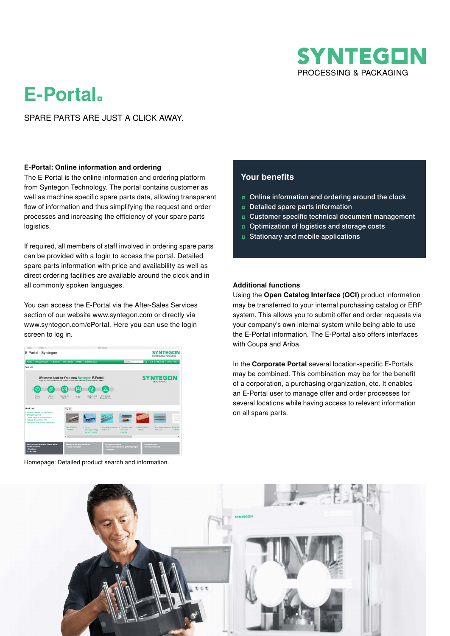

# **E-Portal.**

# SPARE PARTS ARE JUST A CLICK AWAY.

#### **E-Portal: Online information and ordering**

The E-Portal is the online information and ordering platform from Syntegon Technology. The portal contains customer as well as machine specific spare parts data, allowing transparent flow of information and thus simplifying the request and order processes and increasing the efficiency of your spare parts logistics.

If required, all members of staff involved in ordering spare parts can be provided with a login to access the portal. Detailed spare parts information with price and availability as well as direct ordering facilities are available around the clock and in all commonly spoken languages.

You can access the E-Portal via the After-Sales Services section of our website www.syntegon.com or directly via www.syntegon.com/ePortal. Here you can use the login screen to log in.



Homepage: Detailed product search and information.

# **Your benefits**

- ʨ Online information and ordering around the clock
- ʨ Detailed spare parts information
- ʨ Customer specific technical document management
- ʨ Optimization of logistics and storage costs
- ʨ Stationary and mobile applications

#### **Additional functions**

Using the **Open Catalog Interface (OCI)** product information may be transferred to your internal purchasing catalog or ERP system. This allows you to submit offer and order requests via your company's own internal system while being able to use the E-Portal information. The E-Portal also offers interfaces with Coupa and Ariba.

In the **Corporate Portal** several location-specific E-Portals may be combined. This combination may be for the benefit of a corporation, a purchasing organization, etc. It enables an E-Portal user to manage offer and order processes for several locations while having access to relevant information on all spare parts.